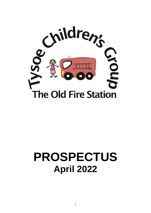

# **PROSPECTUS April 2022**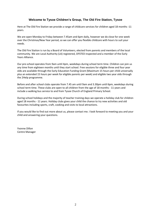# **Welcome to Tysoe Children's Group, The Old Fire Station, Tysoe**

Here at The Old Fire Station we provide a range of childcare services for children aged 18 months -11 years.

We are open Monday to Friday between 7.45am and 6pm daily, however we do close for one week over the Christmas/New Year period, so we can offer you flexible childcare with hours to suit your needs.

The Old Fire Station is run by a Board of Volunteers, elected from parents and members of the local community. We are Local Authority (LA) registered, OFSTED inspected and a member of the Early Years Alliance.

Our pre-school operates from 9am until 4pm, weekdays during school term time. Children can join us any time from eighteen months until they start school. Free sessions for eligible three and four year olds are available through the Early Education Funding Grant (Maximum 15 hours per child universally plus an extended 15 hours per week for eligible parents per week) and eligible two year olds through the 2Help programme.

Before and after school clubs operate from 7.45 am until 9am and 3.30pm until 6pm, weekdays during school term time. These clubs are open to all children from the age of 18 months - 11 years and include a walking bus service to and from Tysoe Church of England Primary School.

During school holidays and the majority of teacher training days we operate a holiday club for children aged 18 months - 11 years. Holiday clubs gives your child the chance to try new activities and old favourites including sports, craft, cooking and visits to local attractions.

If you would like to find out more about us, please contact me. I look forward to meeting you and your child and answering your questions.

Yvonne Dillon Centre Manager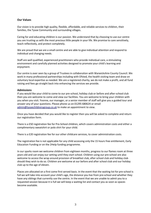# **Our Values**

Our vision is to provide high quality, flexible, affordable, and reliable services to children, their families, the Tysoe Community and surrounding villages.

Caring for and educating children is our passion. We understand that by choosing to use our centre you are trusting us with the most precious little people in your life. We promise to care sensitively, teach reflectively, and protect completely.

We are proud that we are a small centre and are able to give individual attention and respond to individual and changing needs.

Staff are well qualified, experienced practitioners who provide individual care, a stimulating environment and carefully planned activities designed to promote your child's learning and enjoyment.

Our centre is over seen by a group of Trustees in collaboration with Warwickshire County Council. We work in many professional partnerships including with Ofsted, the health visiting team and draw on voluntary local expertise as needed. We are a registered charity, we do not make a profit, and all fund raising and fees go straight back into enhancing the services we provide.

#### **Admissions**

If you would like your child to come to our pre-school, holiday club or before and after-school club then you are welcome to come and view our facilities. You are welcome to bring your children with you when you visit. Yvonne, our manager, or a senior member of staff will give you a guided tour and answer any of your questions. Please phone us on 01295 680624 or email [admin@tysoechildrensgroup.co.uk](mailto:admin@tysoechildrensgroup.co.uk) to make an appointment to view.

Once you have decided that you would like to register then you will be asked to complete and return our registration form.

There is a £50 registration fee for Pre-School children, which covers administration costs and either a complimentary sweatshirt or polo shirt for your child.

There is a £20 registration fee for our other childcare services, to cover administration costs.

The registration fee is not applicable for any child accessing only the 15 hours free entitlement, Early Education Funding or on the 2Help funding programme.

In our sparks room we welcome children from eighteen months, progress to our flames room at three years old and can enjoy our setting until they start school. Children using our pre-school are also welcome to access the wrap around provision of breakfast club, after school club and holiday club should they wish to do so. Children are welcome at our before and after school club and our holiday club up to the age of eleven.

Places are allocated on a first come first served basis. In the event that the waiting list for pre-school is full we will take into account your child's age, the distance you live from pre-school and whether they have any siblings that currently use the centre. In the event that we are unable to admit you to a requested session because it is full we will keep a waiting list and contact you as soon as spaces become available.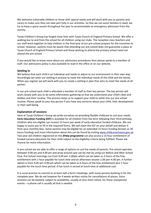We welcome vulnerable children or those with special needs and will work with you as parents and carers to make sure they can take part fully in our activities. So that we can assist families in need, we try to keep a space vacant throughout the year to accommodate an emergency admission from the vicinity.

Tysoe Children's Group has forged close links with Tysoe Church of England Primary School. We offer a walking bus to and from the school for all children using our clubs. The reception class teachers and our staff work together to help children in the final year of our pre-school prepare for the transition to school. However, parents must be aware that attending our pre-school does not guarantee a place at Tysoe Church of England Primary School and those wishing to attend the primary school need not attend the pre-school.

If you would like to know more about our admissions procedures then please speak to a member of staff. Our admissions policy is also available to read in the office or on our website.

#### **Settling In**

We believe that each child is an individual and needs to adjust to our environment in their own way. Accordingly we tailor our settling in process to meet the individual needs of the child and the family. When you register we will work with you to create a settling in plan that aims to meet the needs of all parties.

In our pre-school each child is allocated a member of staff as their key person. The key person will work closely with you to do some information gathering so that we understand your child's likes and dislikes and their routine. This process helps us to support your child to settle into our pre-school routine. Please speak to your key person if you have any concerns about your child, their development or their well-being.

#### **Explanation of sessions**

Here at Tysoe Children's Group we pride ourselves on providing flexible childcare to suit your needs. **Early Education Funding (EEF)** is available for all children from the term following their third birthday. Children who are eligible can receive 15 hours per week of early education funded childcare. We are happy to assist you to fill in the required forms. We will claim the EEF on your behalf and deduct it from your monthly fees. Some parents may be eligible for an extended 15 hours funding (known as 30 hours funding) and more information about this can be found by visiting [www.childcarechoices.gov.uk](http://www.childcarechoices.gov.uk/) Two year old children registered on the **2Help programme** can also access a 15 hour entitlement of funded nursery education for their child subject to the eligibility criteria being fulfilled. Please ask Yvonne for more information.

In pre-school we are able to offer a range of options to suit the needs of parents. Pre-school operates between 9.00 am and 4.00 pm and wrap around care can be met by using our Before and After School Club. Pre-School mornings run from 9.00 am–1.00pm which can be taken as 3 hours of the free entitlement with 1 hour payable for lunch time and an afternoon session 1.00 pm–4.00 pm. A further option is from 9.00 am–4.00 pm which can be taken as 6 hours of the free entitlement plus 1 hour payable for the lunch time period. A hot lunch is served at lunch time at additional cost.

It is usual practice to commit to at least half a term's bookings, with many parents booking in for the complete year. We do ask however for 4 weeks written notice for cancellations of places. Extra sessions can be booked, subject to availability, usually at very short notice, for those unexpected events – a phone call is usually all that is needed.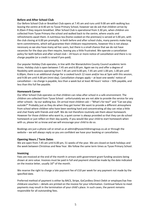# **Before and After School Club**

Our Before School Club or Breakfast Club opens at 7.45 am and runs until 9.00 am with walking bus leaving the centre at 8.40 am to Tysoe Primary School, however we do ask that children arrive by 8.20am if they require breakfast. After School Club is operational from 3.30 pm, when children are collected from Tysoe Primary the school and walked back to the centre, where snacks and refreshments await them. A nutritious tea (home cooked on the premises) is served at 5.00 pm, with the club closing at 6.00 pm promptly. In both before and after school clubs, many parents make long term commitments, which will guarantee their childcare requirements, however this is not always necessary as we also have many ad hoc users, but there is a small chance that we do not have vacancies for the days you then require, leaving you a little frustrated. We operate a cancellation policy for both before and after school club – 24 hours or more notice of cancellation and there is no charge payable (or a credit is raised if pre-paid).

Our popular Holiday Club operates, in line with the Warwickshire County Council academic term times. Holiday club is open between 7.45 am and 6.00 pm. Again we try and offer a degree of flexibility with sessions operating from 7.45 am until 6.00 pm; 7.45 am until 1.00 pm; 1.00 pm until 6.00pm, there is an additional charge for a cooked lunch 12 noon and/or tea at 5pm with this session, and 9.00 am until 4.00 pm (mini-day). Cancellation charges apply – at least one weeks' notice of cancellation – no charge is payable, less than a week but at least 48 hours' notice – 50% payable, and less than this full fee payable.

# **Homework Corner**

Our After School Club operates so that children can relax after school in a safe environment. The children are collected from Tysoe School - unfortunately we are not able to provide the service for any other schools - by our walking bus. On arrival most children ask – "What's for tea?" and "Can we play outside?" Probably just as they do when they get home! We want to provide a different atmosphere from school where children who have been working hard and concentrating all day can relax a little and chat freely with friends and staff. We do not therefore routinely ask them about homework. However for those children who want to, a quiet corner is always provided so that they can do school homework or just reflect on their day quietly. If you would like your child to start homework when with us, please let us know and we will encourage your child to do so.

Bookings are just a phone call or email us at admin@tysoechildrensgroup.co.uk or through the website – we will always reply so you are confident we have your booking or cancellation.

# **Opening Hours / Term Dates**

We are open from 7.45 am until 6.00 pm, 51 weeks of the year. We are closed on bank holidays and the week between Christmas and New Year. We follow the same term times as Tysoe Primary School.

# **Invoicing**

Fees are invoiced at the end of the month in arrears with government grant funding sessions being shown at zero value. Invoices must be paid in full and payment should be made by the date indicated on the invoice letter, usually  $16<sup>th</sup>$  of the month.

We reserve the right to charge a late payment fee of £10 per week for any payment not made by the specified date.

Preferred method of payment is either by BACS, Stripe, GoCardless Direct Debit or employer/tax free childcare vouchers – details are printed on the invoice for your information. Continual failure to meet payments may result in the termination of your child's place. In such cases, the parent remains responsible for all outstanding fees.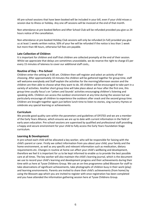All pre-school sessions that have been booked will be included in your bill, even if your child misses a session due to illness or holiday. Any one off sessions will be invoiced at the end of that month.

Non-attendance at pre-booked Before and After School Club will be refunded provided you give us 24 hours notice of the cancellation.

Non-attendance at pre-booked Holiday Club sessions will only be refunded (in full) provided you give us at least 1 weeks written notice, 50% of your fee will be refunded if the notice is less than 1 week but more than 48 hours, otherwise full fees are payable.

#### **Late Collection of Children**

It is important for children and staff that children are collected promptly at the end of their session. Whilst we appreciate that delays are sometimes unavoidable, we do reserve the right to charge £5 per every 15 minutes of lateness to cover our additional staff costs,.

#### **Routine of Day – Pre-School**

Children enter the setting at 9.00 am. Children then self-register and select an activity of their choosing. After approximately 10 minutes the children will be gathered together for group time, staff will welcome everybody and Staff explain the activities for the morning/afternoon session and the children are then able to choose what they want to do. All children will be encouraged to take part in a variety of activities. Another short group time will take place about an hour after the first one, this group time usually focus's on 'Letters and Sounds' activities encouraging children's listening and speaking skills. Children can access the outdoor environment at any time during the session but we particularly encourage all children to experience the outdoors after snack and the second group time. Children are brought together again just before lunch time to listen to stories, sing nursery rhymes or celebrate any special learning or achievements.

#### **Curriculum**

We provide good quality care within the parameters and guidelines of OFSTED and we are a member of the Early Years Alliance, which ensures we are up to date with current information in the field of early years education. Pre-school sessions are supervised by qualified and professional staff providing a happy and secure environment for your child to fully access the Early Years Foundation Stage curriculum.

# **Learning & Development**

In pre-school each child will be allocated a key worker, who will be responsible for liaising with the child's parent or carer. Firstly we collect information from you about your child, your family and the home environment, as well as any specific and relevant information such as medication, dietary requirements etc. Changes in routine at home can affect your child's wellbeing and development, therefore we feel it is important for us to be kept informed to enable us to provide the best possible care at all times. The key worker will also maintain the child's learning journal, which is the document we use to record your child's learning and development progress and their achievements during their time with us here at Tysoe Childrens Group. We use an on-line programme called Blossom for staff to take observations of significant achievements, take photographs of children busy in their work (play) and learning environments. Parents are invited to share their child's achievements (from home) by using the Blossom app which you are invited to register with once registration has been completed and you have attended the information gathering session here at Tysoe Childrens Group.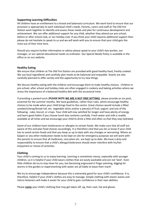# **Supporting Learning Difficulties**

All children have an entitlement to a broad and balanced curriculum. We work hard to ensure that our provision is appropriate to each individual child's needs. Parents, carers and staff at The Old Fire Station work together to identify and assess those needs and plan for continuous development and achievement. We can offer additional support for any child, whether they attend our pre-school, before or after school club, or our holiday club. If you think your child requires additional support then please do not hesitate to speak to us and we will work with you to ensure that your child gets the most out of their time here.

Should you require further information or advice please speak to your child's key worker, our manager, or our special educational needs co-ordinator. Our Special Needs Policy is available in the office or on our website.

#### **Healthy Eating**

We ensure that children at The Old Fire Station are provided with good healthy food, freshly cooked. We use local ingredients and carefully plan meals to be balanced and enjoyable. Snacks are also carefully planned to offer variety and the opportunity to try new things.

We discuss healthy eating with the children and encourage them to make healthy choices. Children in pre-school, after school and holiday clubs are often engaged in cookery and baking activities where we stress the importance of a balanced healthy diet with the occasional treat.

If providing a packed lunch (**PLEASE NOTE WE ARE A NUT FREE SETTING)** please provide an ice pack, essential for the summer months. We have guidelines, rather than rules, which encourage healthy choices to be made when your child brings food to the centre. Great choices would include a filled sandwich/wrap/bread roll, etc. vegetable sticks and/or a piece(s) of fruit; yogurt; and one of the following - cake, biscuit, or crisps. Your child will stay satisfied for longer and have plenty of energy and learn good habits if you choose lunch box contents carefully. Fresh water and milk is readily available at all times and we encourage your child to drink a little and often so that they stay hydrated.

Some of our children have intolerances or allergies to certain foods. We make sure that all staff are aware of this and plan food choices accordingly. It is therefore vital that you let us know if your child has to avoid certain foods and that you keep us up to date with any changes or worsening. Where an Epipen or any other medication needs to be kept on site for emergency purposes we will work with the parents to ensure that all medicines, care plans etc. are kept up to date. We have a duty and responsibility to ensure that a child's allergy/intolerance should never interfere with his/her enjoyment or choice of activities.

#### **Clothing**

Your child is coming to us to enjoy learning. Learning is sometimes messy, especially with younger children, so it is helpful if your child wears clothes that are easily washable and are not 'best'. Even little children do try to stay clean for you, but becoming engrossed in finger painting, digging for worms in the garden or experimenting with water are all liable to leave their mark!

We try to encourage independence because this is extremely good for your child's confidence. It is, therefore, helpful if your child's clothes are easy to manage. Simple clothing with elastic waists and Velcro fasteners will make it easier for your child to gain confidence in their own abilities.

Please **name** your child's clothing that may get taken off, eg. their coat, hat and gloves.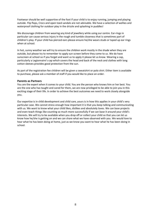Footwear should be well supportive of the foot if your child is to enjoy running, jumping and playing outside. Flip flops, Crocs and open toed sandals are not advisable. We have a selection of wellies and waterproof clothing for outdoor play in the drizzle and splashing in puddles!

We discourage children from wearing any kind of jewellery while using our centre. Ear-rings in particular can cause serious injury in the rough and tumble closeness that is sometimes part of children's play. If your child has pierced ears please ensure he/she wears studs or taped up ear rings when at school.

In hot, sunny weather we will try to ensure the children work mostly in the shade when they are outside, but please try to remember to apply sun screen before they come to us. We do have sunscreen at school so if you forget and want us to apply it please let us know. Wearing a cap, particularly a Legionnaire's cap which covers the head and back of the neck and clothes with long cotton sleeves provides good protection from the sun.

As part of the registration fee children will be given a sweatshirt or polo shirt. Either item is available to purchase, please ask a member of staff if you would like to place an order.

#### **Parents as Partners**

You are the expert when it comes to your child. You are the person who knows him or her best. You are the one who has taught and cared for them, we are now privileged to be able to join you in this exciting stage of their life. In order to achieve the best outcomes we need to work closely alongside you.

Our expertise is in child development and child care, yours is in how this applies in your child's very particular case. We cannot stress enough how important it is that you keep talking and communicating with us. We want to know what your child likes, dislikes and absolutely loves. We can base projects and even teach things like counting so much more successfully if we can base it around your child's interests. We will try to be available when you drop off or collect your child so that you can let us know how he/she is getting on and we can share what we have observed with you. We would love to hear what he has been doing at home, just as we know you want to hear what he has been doing in school.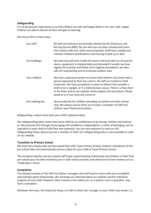## **Safeguarding**

It is of paramount importance to us that children are safe and happy while in our care. Safe, happy children are able to devote all their energies to learning.

We ensure this in many ways:

| Our staff       | All staff and directors are formally checked by the Disclosure and<br>Barring Service (DBS). No one who has not been checked will come<br>into contact with your child unaccompanied. Staff have suitable and<br>relevant childcare qualifications and training is kept up to date.                                                                                                                                |
|-----------------|--------------------------------------------------------------------------------------------------------------------------------------------------------------------------------------------------------------------------------------------------------------------------------------------------------------------------------------------------------------------------------------------------------------------|
| Our buildings   | We have key pad locks inside the centre and loud alerts to all exterior<br>doors; equipment is checked daily and discarded if unsafe; we have<br>regular fire practice and follow strict hygiene procedures; we have<br>safe off road parking and an enclosed outdoor area.                                                                                                                                        |
| Your children   | We have a password system to ensure that children only leave with a<br>person approved by their key carer/s. All staff are trained in Child<br>Protection. We have procedures in place to follow if we consider a<br>child to be in danger, or if a child discloses abuse. There is a flow chart<br>in the foyer and on our website which explains this procedure. Please<br>speak to us if you have any concerns. |
| Our walking bus | We provide this for children attending our before and after school<br>club. We always ensure there are at least 2 members of staff and<br>children wear fluorescent jackets.                                                                                                                                                                                                                                       |

Safeguarding is about more than your child's physical safety.

Our Safeguarding policy states that every child has an entitlement to be strong, resilient and listened to. We promote this through encouraging self-confidence, independence, a sense of belonging, and an aspiration in each child to fulfil their own potential. You are very welcome to read our full Safeguarding Policy, please just ask a member of staff. Our safeguarding policy is also available to read on our website.

#### **Transition to Primary School**

We work very closely with and have good links with Tysoe Primary School, however attendance at this pre-school does not automatically secure a place for your child at Tysoe Primary School.

The reception teacher and pre-school staff enjoy a good working relationship and children in their final pre-school year are often invited to join in with school activities and attend end of term events such as 'Teddy Bear's Picnic'

#### **Complaints**

The elected trustees of The Old Fire Station, managers and staff want to work with you to establish and maintain good relationships. We will keep you informed about our policies and the individual progress of your child. However, there may be a time when you, as a parent, carer or guardian, may have a complaint.

Whatever the issue, the important thing is to talk to either our manager or your child's key worker, as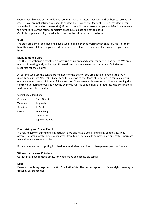soon as possible. It is better to do this sooner rather than later. They will do their best to resolve the issue. If you are not satisfied you should contact the Chair of the Board of Trustees (contact details are in this booklet and on the website). If the matter still is not resolved to your satisfaction you have the right to follow the formal complaint procedure, please see notice board. Our full complaints policy is available to read in the office or on our website.

# **Staff**

The staff are all well qualified and have a wealth of experience working with children. Most of them have their own children or grandchildren, so are well placed to understand any concerns you may have.

# **Management Board**

The Old Fire Station is a registered charity run by parents and carers for parents and carers. We are a non-profit making body and any profits we do accrue are invested into improving facilities and resources for the children.

All parents who use the centre are members of the charity. You are entitled to vote at the AGM (usually held in late November) and stand for election to the Board of Directors. To remain a lawful entity we must have a minimum of five directors. These are mainly parents of children attending the centre volunteering to oversee how the charity is run. No special skills are required, just a willingness to do what needs to be done.

#### Current Board Members

| Chairman:  | Alana Grocott   |
|------------|-----------------|
| Treasurer: | Judy Webb       |
| Secretary  | Jo Small        |
| Director   | Jennie Perry    |
|            | Karen Shortt    |
|            | Sophie Stephens |

#### **Fundraising and Social Events**

We rely heavily on our fundraising activity so we also have a small fundraising committee. They organise approximately three events a year from table top sales, to summer balls and coffee mornings to children's Halloween parties.

If you are interested in getting involved as a fundraiser or a director then please speak to Yvonne.

# **Wheelchair access & toilets**

Our facilities have ramped access for wheelchairs and accessible toilets.

# **Dogs**

Please do not bring dogs onto the Old Fire Station Site. The only exception to this are sight, learning or disability assistance dogs.